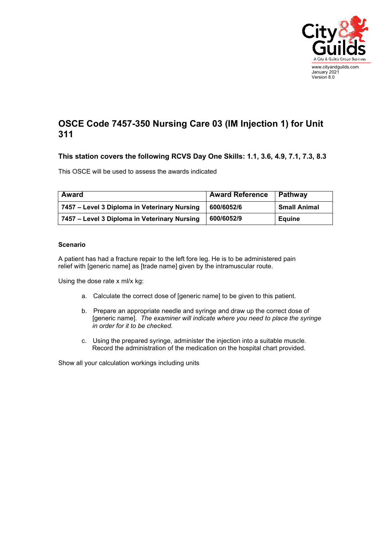

## **OSCE Code 7457-350 Nursing Care 03 (IM Injection 1) for Unit 311**

## **This station covers the following RCVS Day One Skills: 1.1, 3.6, 4.9, 7.1, 7.3, 8.3**

This OSCE will be used to assess the awards indicated

| <b>Award</b>                                 | <b>Award Reference</b> | Pathway             |
|----------------------------------------------|------------------------|---------------------|
| 7457 - Level 3 Diploma in Veterinary Nursing | 600/6052/6             | <b>Small Animal</b> |
| 7457 – Level 3 Diploma in Veterinary Nursing | 600/6052/9             | <b>Equine</b>       |

## **Scenario**

A patient has had a fracture repair to the left fore leg. He is to be administered pain relief with [generic name] as [trade name] given by the intramuscular route.

Using the dose rate x ml/x kg:

- a. Calculate the correct dose of [generic name] to be given to this patient.
- b. Prepare an appropriate needle and syringe and draw up the correct dose of [generic name]. *The examiner will indicate where you need to place the syringe in order for it to be checked.*
- c. Using the prepared syringe, administer the injection into a suitable muscle. Record the administration of the medication on the hospital chart provided.

Show all your calculation workings including units